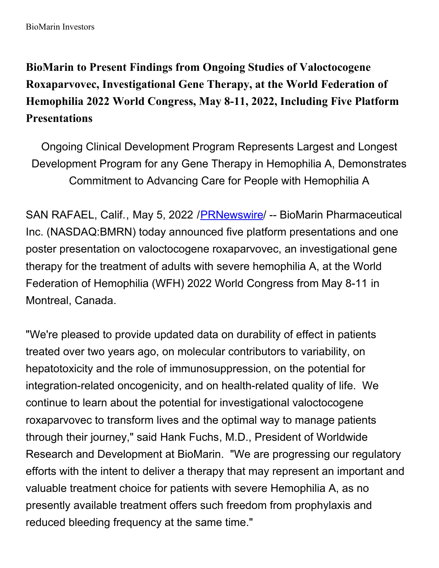BioMarin Investors

**BioMarin to Present Findings from Ongoing Studies of Valoctocogene Roxaparvovec, Investigational Gene Therapy, at the World Federation of Hemophilia 2022 World Congress, May 8-11, 2022, Including Five Platform Presentations**

Ongoing Clinical Development Program Represents Largest and Longest Development Program for any Gene Therapy in Hemophilia A, Demonstrates Commitment to Advancing Care for People with Hemophilia A

SAN RAFAEL, Calif., May 5, 2022 /[PRNewswire](http://www.prnewswire.com/)/ -- BioMarin Pharmaceutical Inc. (NASDAQ:BMRN) today announced five platform presentations and one poster presentation on valoctocogene roxaparvovec, an investigational gene therapy for the treatment of adults with severe hemophilia A, at the World Federation of Hemophilia (WFH) 2022 World Congress from May 8-11 in Montreal, Canada.

"We're pleased to provide updated data on durability of effect in patients treated over two years ago, on molecular contributors to variability, on hepatotoxicity and the role of immunosuppression, on the potential for integration-related oncogenicity, and on health-related quality of life. We continue to learn about the potential for investigational valoctocogene roxaparvovec to transform lives and the optimal way to manage patients through their journey," said Hank Fuchs, M.D., President of Worldwide Research and Development at BioMarin. "We are progressing our regulatory efforts with the intent to deliver a therapy that may represent an important and valuable treatment choice for patients with severe Hemophilia A, as no presently available treatment offers such freedom from prophylaxis and reduced bleeding frequency at the same time."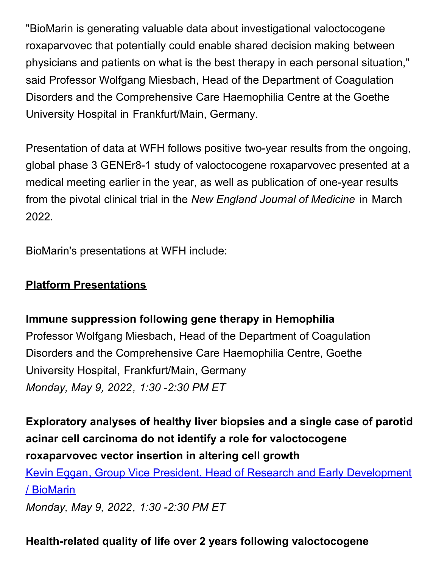"BioMarin is generating valuable data about investigational valoctocogene roxaparvovec that potentially could enable shared decision making between physicians and patients on what is the best therapy in each personal situation," said Professor Wolfgang Miesbach, Head of the Department of Coagulation Disorders and the Comprehensive Care Haemophilia Centre at the Goethe University Hospital in Frankfurt/Main, Germany.

Presentation of data at WFH follows positive two-year results from the ongoing, global phase 3 GENEr8-1 study of valoctocogene roxaparvovec presented at a medical meeting earlier in the year, as well as publication of one-year results from the pivotal clinical trial in the *New England Journal of Medicine* in March 2022.

BioMarin's presentations at WFH include:

### **Platform Presentations**

## **Immune suppression following gene therapy in Hemophilia**

Professor Wolfgang Miesbach, Head of the Department of Coagulation Disorders and the Comprehensive Care Haemophilia Centre, Goethe University Hospital, Frankfurt/Main, Germany *Monday, May 9, 2022, 1:30 -2:30 PM ET*

**Exploratory analyses of healthy liver biopsies and a single case of parotid acinar cell carcinoma do not identify a role for valoctocogene roxaparvovec vector insertion in altering cell growth**

Kevin Eggan, Group Vice President, Head of Research and Early [Development](https://c212.net/c/link/?t=0&l=en&o=3527075-1&h=2191914561&u=https%3A%2F%2Fcongress.wfh.org%2Ffullprogram%2F%23sp100413&a=Kevin+Eggan%2C+Group+Vice+President%2C+Head+of+Research+and+Early+Development+%2F+BioMarin) / BioMarin *Monday, May 9, 2022, 1:30 -2:30 PM ET*

## **Health-related quality of life over 2 years following valoctocogene**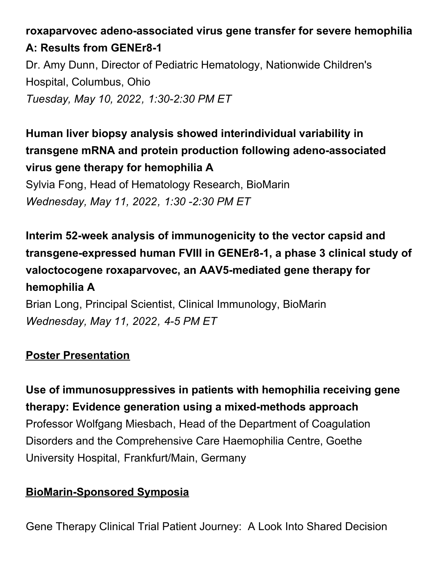# **roxaparvovec adeno-associated virus gene transfer for severe hemophilia A: Results from GENEr8-1**

Dr. Amy Dunn, Director of Pediatric Hematology, Nationwide Children's Hospital, Columbus, Ohio *Tuesday, May 10, 2022, 1:30-2:30 PM ET*

**Human liver biopsy analysis showed interindividual variability in transgene mRNA and protein production following adeno-associated virus gene therapy for hemophilia A**

Sylvia Fong, Head of Hematology Research, BioMarin *Wednesday, May 11, 2022, 1:30 -2:30 PM ET*

**Interim 52-week analysis of immunogenicity to the vector capsid and transgene-expressed human FVIII in GENEr8-1, a phase 3 clinical study of valoctocogene roxaparvovec, an AAV5-mediated gene therapy for hemophilia A**

Brian Long, Principal Scientist, Clinical Immunology, BioMarin *Wednesday, May 11, 2022, 4-5 PM ET*

## **Poster Presentation**

**Use of immunosuppressives in patients with hemophilia receiving gene therapy: Evidence generation using a mixed-methods approach** Professor Wolfgang Miesbach, Head of the Department of Coagulation Disorders and the Comprehensive Care Haemophilia Centre, Goethe University Hospital, Frankfurt/Main, Germany

## **BioMarin-Sponsored Symposia**

Gene Therapy Clinical Trial Patient Journey: A Look Into Shared Decision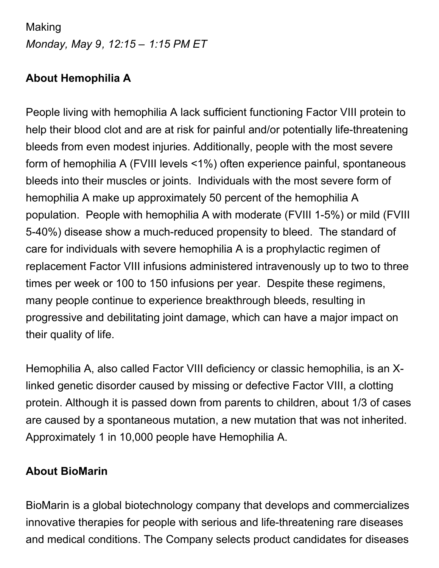# Making *Monday, May 9, 12:15 – 1:15 PM ET*

## **About Hemophilia A**

People living with hemophilia A lack sufficient functioning Factor VIII protein to help their blood clot and are at risk for painful and/or potentially life-threatening bleeds from even modest injuries. Additionally, people with the most severe form of hemophilia A (FVIII levels <1%) often experience painful, spontaneous bleeds into their muscles or joints. Individuals with the most severe form of hemophilia A make up approximately 50 percent of the hemophilia A population. People with hemophilia A with moderate (FVIII 1-5%) or mild (FVIII 5-40%) disease show a much-reduced propensity to bleed. The standard of care for individuals with severe hemophilia A is a prophylactic regimen of replacement Factor VIII infusions administered intravenously up to two to three times per week or 100 to 150 infusions per year. Despite these regimens, many people continue to experience breakthrough bleeds, resulting in progressive and debilitating joint damage, which can have a major impact on their quality of life.

Hemophilia A, also called Factor VIII deficiency or classic hemophilia, is an Xlinked genetic disorder caused by missing or defective Factor VIII, a clotting protein. Although it is passed down from parents to children, about 1/3 of cases are caused by a spontaneous mutation, a new mutation that was not inherited. Approximately 1 in 10,000 people have Hemophilia A.

## **About BioMarin**

BioMarin is a global biotechnology company that develops and commercializes innovative therapies for people with serious and life-threatening rare diseases and medical conditions. The Company selects product candidates for diseases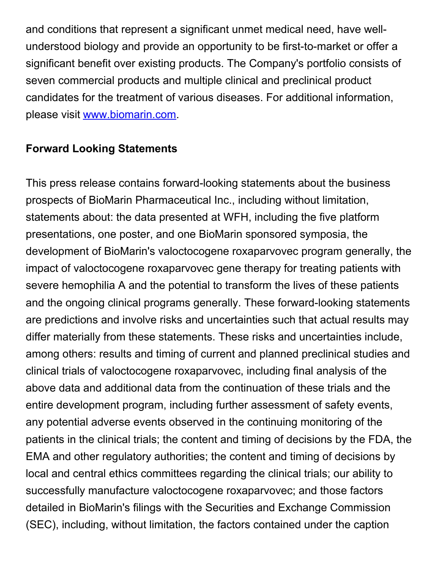and conditions that represent a significant unmet medical need, have wellunderstood biology and provide an opportunity to be first-to-market or offer a significant benefit over existing products. The Company's portfolio consists of seven commercial products and multiple clinical and preclinical product candidates for the treatment of various diseases. For additional information, please visit [www.biomarin.com](https://c212.net/c/link/?t=0&l=en&o=3527075-1&h=645389745&u=http%3A%2F%2Fwww.biomarin.com%2F&a=www.biomarin.com).

#### **Forward Looking Statements**

This press release contains forward-looking statements about the business prospects of BioMarin Pharmaceutical Inc., including without limitation, statements about: the data presented at WFH, including the five platform presentations, one poster, and one BioMarin sponsored symposia, the development of BioMarin's valoctocogene roxaparvovec program generally, the impact of valoctocogene roxaparvovec gene therapy for treating patients with severe hemophilia A and the potential to transform the lives of these patients and the ongoing clinical programs generally. These forward-looking statements are predictions and involve risks and uncertainties such that actual results may differ materially from these statements. These risks and uncertainties include, among others: results and timing of current and planned preclinical studies and clinical trials of valoctocogene roxaparvovec, including final analysis of the above data and additional data from the continuation of these trials and the entire development program, including further assessment of safety events, any potential adverse events observed in the continuing monitoring of the patients in the clinical trials; the content and timing of decisions by the FDA, the EMA and other regulatory authorities; the content and timing of decisions by local and central ethics committees regarding the clinical trials; our ability to successfully manufacture valoctocogene roxaparvovec; and those factors detailed in BioMarin's filings with the Securities and Exchange Commission (SEC), including, without limitation, the factors contained under the caption